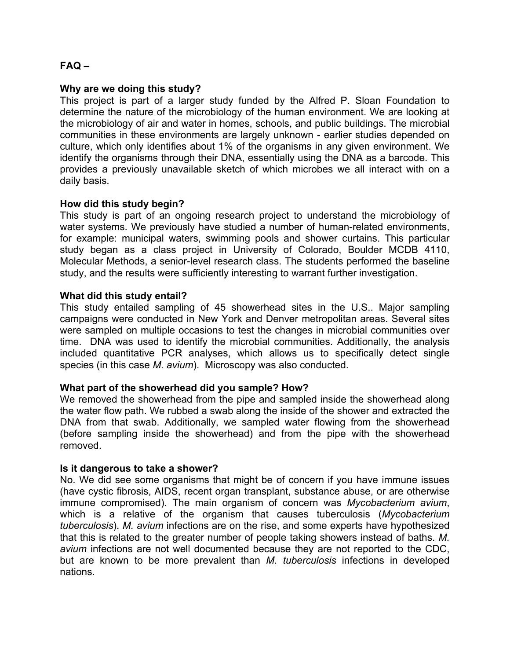# **FAQ –**

#### **Why are we doing this study?**

This project is part of a larger study funded by the Alfred P. Sloan Foundation to determine the nature of the microbiology of the human environment. We are looking at the microbiology of air and water in homes, schools, and public buildings. The microbial communities in these environments are largely unknown - earlier studies depended on culture, which only identifies about 1% of the organisms in any given environment. We identify the organisms through their DNA, essentially using the DNA as a barcode. This provides a previously unavailable sketch of which microbes we all interact with on a daily basis.

### **How did this study begin?**

This study is part of an ongoing research project to understand the microbiology of water systems. We previously have studied a number of human-related environments, for example: municipal waters, swimming pools and shower curtains. This particular study began as a class project in University of Colorado, Boulder MCDB 4110, Molecular Methods, a senior-level research class. The students performed the baseline study, and the results were sufficiently interesting to warrant further investigation.

### **What did this study entail?**

This study entailed sampling of 45 showerhead sites in the U.S.. Major sampling campaigns were conducted in New York and Denver metropolitan areas. Several sites were sampled on multiple occasions to test the changes in microbial communities over time. DNA was used to identify the microbial communities. Additionally, the analysis included quantitative PCR analyses, which allows us to specifically detect single species (in this case *M. avium*). Microscopy was also conducted.

#### **What part of the showerhead did you sample? How?**

We removed the showerhead from the pipe and sampled inside the showerhead along the water flow path. We rubbed a swab along the inside of the shower and extracted the DNA from that swab. Additionally, we sampled water flowing from the showerhead (before sampling inside the showerhead) and from the pipe with the showerhead removed.

#### **Is it dangerous to take a shower?**

No. We did see some organisms that might be of concern if you have immune issues (have cystic fibrosis, AIDS, recent organ transplant, substance abuse, or are otherwise immune compromised). The main organism of concern was *Mycobacterium avium*, which is a relative of the organism that causes tuberculosis (*Mycobacterium tuberculosis*). *M. avium* infections are on the rise, and some experts have hypothesized that this is related to the greater number of people taking showers instead of baths. *M. avium* infections are not well documented because they are not reported to the CDC, but are known to be more prevalent than *M. tuberculosis* infections in developed nations.